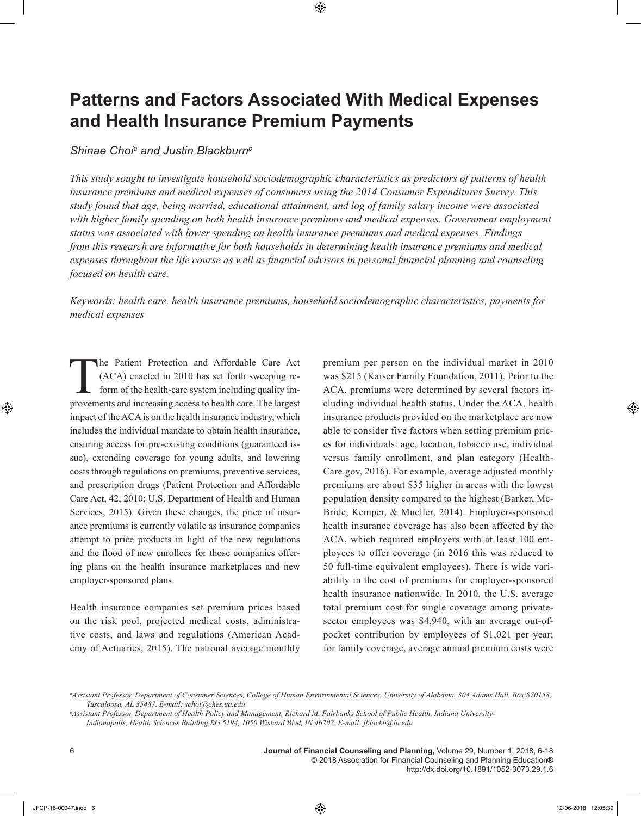# **Patterns and Factors Associated With Medical Expenses and Health Insurance Premium Payments**

# *Shinae Choia and Justin Blackburnb*

*This study sought to investigate household sociodemographic characteristics as predictors of patterns of health insurance premiums and medical expenses of consumers using the 2014 Consumer Expenditures Survey. This study found that age, being married, educational attainment, and log of family salary income were associated with higher family spending on both health insurance premiums and medical expenses. Government employment status was associated with lower spending on health insurance premiums and medical expenses. Findings from this research are informative for both households in determining health insurance premiums and medical expenses throughout the life course as well as financial advisors in personal financial planning and counseling focused on health care.*

*Keywords: health care, health insurance premiums, household sociodemographic characteristics, payments for medical expenses*

The Patient Protection and Affordable Care Act (ACA) enacted in 2010 has set forth sweeping reform of the health-care system including quality improvements and increasing access to health care. The largest impact of the ACA is on the health insurance industry, which includes the individual mandate to obtain health insurance, ensuring access for pre-existing conditions (guaranteed issue), extending coverage for young adults, and lowering costs through regulations on premiums, preventive services, and prescription drugs (Patient Protection and Affordable Care Act, 42, 2010; U.S. Department of Health and Human Services, 2015). Given these changes, the price of insurance premiums is currently volatile as insurance companies attempt to price products in light of the new regulations and the flood of new enrollees for those companies offering plans on the health insurance marketplaces and new employer-sponsored plans.

Health insurance companies set premium prices based on the risk pool, projected medical costs, administrative costs, and laws and regulations (American Academy of Actuaries, 2015). The national average monthly premium per person on the individual market in 2010 was \$215 (Kaiser Family Foundation, 2011). Prior to the ACA, premiums were determined by several factors including individual health status. Under the ACA, health insurance products provided on the marketplace are now able to consider five factors when setting premium prices for individuals: age, location, tobacco use, individual versus family enrollment, and plan category (Health-Care.gov, 2016). For example, average adjusted monthly premiums are about \$35 higher in areas with the lowest population density compared to the highest (Barker, Mc-Bride, Kemper, & Mueller, 2014). Employer-sponsored health insurance coverage has also been affected by the ACA, which required employers with at least 100 employees to offer coverage (in 2016 this was reduced to 50 full-time equivalent employees). There is wide variability in the cost of premiums for employer-sponsored health insurance nationwide. In 2010, the U.S. average total premium cost for single coverage among privatesector employees was \$4,940, with an average out-ofpocket contribution by employees of \$1,021 per year; for family coverage, average annual premium costs were

*a Assistant Professor, Department of Consumer Sciences, College of Human Environmental Sciences, University of Alabama, 304 Adams Hall, Box 870158, Tuscaloosa, AL 35487. E-mail: schoi@ches.ua.edu*

*b Assistant Professor, Department of Health Policy and Management, Richard M. Fairbanks School of Public Health, Indiana University-Indianapolis, Health Sciences Building RG 5194, 1050 Wishard Blvd, IN 46202. E-mail: jblackb@iu.edu*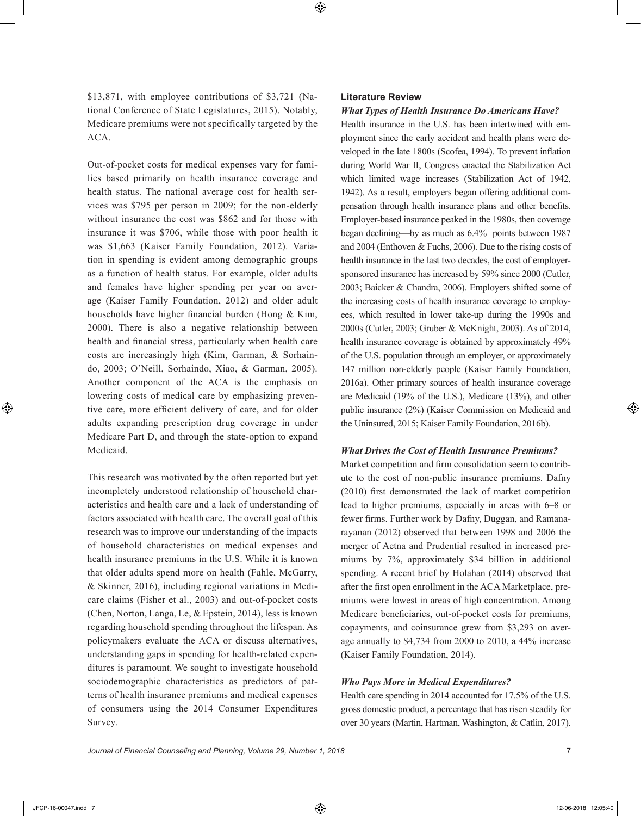\$13,871, with employee contributions of \$3,721 (National Conference of State Legislatures, 2015). Notably, Medicare premiums were not specifically targeted by the ACA.

Out-of-pocket costs for medical expenses vary for families based primarily on health insurance coverage and health status. The national average cost for health services was \$795 per person in 2009; for the non-elderly without insurance the cost was \$862 and for those with insurance it was \$706, while those with poor health it was \$1,663 (Kaiser Family Foundation, 2012). Variation in spending is evident among demographic groups as a function of health status. For example, older adults and females have higher spending per year on average (Kaiser Family Foundation, 2012) and older adult households have higher financial burden (Hong & Kim, 2000). There is also a negative relationship between health and financial stress, particularly when health care costs are increasingly high (Kim, Garman, & Sorhaindo, 2003; O'Neill, Sorhaindo, Xiao, & Garman, 2005). Another component of the ACA is the emphasis on lowering costs of medical care by emphasizing preventive care, more efficient delivery of care, and for older adults expanding prescription drug coverage in under Medicare Part D, and through the state-option to expand Medicaid.

This research was motivated by the often reported but yet incompletely understood relationship of household characteristics and health care and a lack of understanding of factors associated with health care. The overall goal of this research was to improve our understanding of the impacts of household characteristics on medical expenses and health insurance premiums in the U.S. While it is known that older adults spend more on health (Fahle, McGarry, & Skinner, 2016), including regional variations in Medicare claims (Fisher et al., 2003) and out-of-pocket costs (Chen, Norton, Langa, Le, & Epstein, 2014), less is known regarding household spending throughout the lifespan. As policymakers evaluate the ACA or discuss alternatives, understanding gaps in spending for health-related expenditures is paramount. We sought to investigate household sociodemographic characteristics as predictors of patterns of health insurance premiums and medical expenses of consumers using the 2014 Consumer Expenditures Survey.

## **Literature Review**

#### *What Types of Health Insurance Do Americans Have?*

Health insurance in the U.S. has been intertwined with employment since the early accident and health plans were developed in the late 1800s (Scofea, 1994). To prevent inflation during World War II, Congress enacted the Stabilization Act which limited wage increases (Stabilization Act of 1942, 1942). As a result, employers began offering additional compensation through health insurance plans and other benefits. Employer-based insurance peaked in the 1980s, then coverage began declining—by as much as 6.4% points between 1987 and 2004 (Enthoven & Fuchs, 2006). Due to the rising costs of health insurance in the last two decades, the cost of employersponsored insurance has increased by 59% since 2000 (Cutler, 2003; Baicker & Chandra, 2006). Employers shifted some of the increasing costs of health insurance coverage to employees, which resulted in lower take-up during the 1990s and 2000s (Cutler, 2003; Gruber & McKnight, 2003). As of 2014, health insurance coverage is obtained by approximately 49% of the U.S. population through an employer, or approximately 147 million non-elderly people (Kaiser Family Foundation, 2016a). Other primary sources of health insurance coverage are Medicaid (19% of the U.S.), Medicare (13%), and other public insurance (2%) (Kaiser Commission on Medicaid and the Uninsured, 2015; Kaiser Family Foundation, 2016b).

#### *What Drives the Cost of Health Insurance Premiums?*

Market competition and firm consolidation seem to contribute to the cost of non-public insurance premiums. Dafny (2010) first demonstrated the lack of market competition lead to higher premiums, especially in areas with 6–8 or fewer firms. Further work by Dafny, Duggan, and Ramanarayanan (2012) observed that between 1998 and 2006 the merger of Aetna and Prudential resulted in increased premiums by 7%, approximately \$34 billion in additional spending. A recent brief by Holahan (2014) observed that after the first open enrollment in the ACA Marketplace, premiums were lowest in areas of high concentration. Among Medicare beneficiaries, out-of-pocket costs for premiums, copayments, and coinsurance grew from \$3,293 on average annually to \$4,734 from 2000 to 2010, a 44% increase (Kaiser Family Foundation, 2014).

#### *Who Pays More in Medical Expenditures?*

Health care spending in 2014 accounted for 17.5% of the U.S. gross domestic product, a percentage that has risen steadily for over 30 years (Martin, Hartman, Washington, & Catlin, 2017).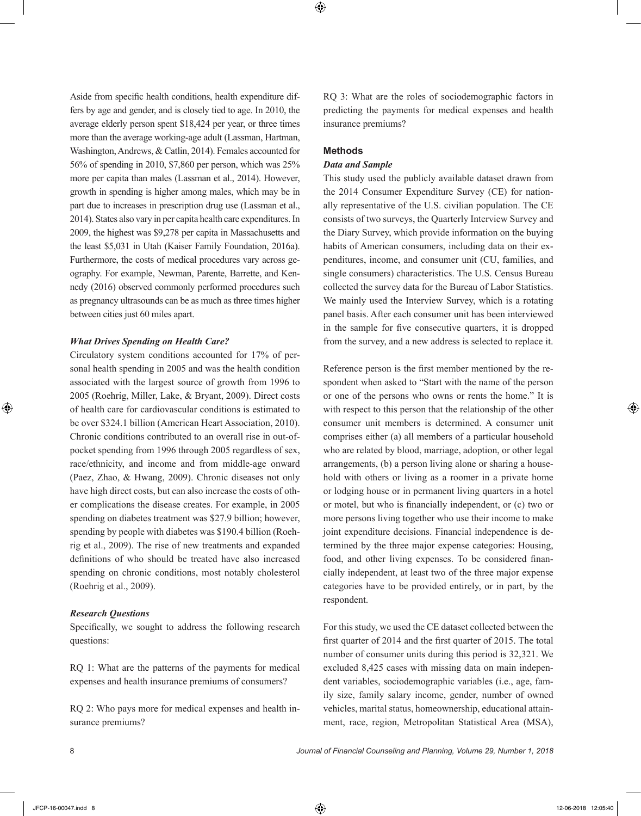Aside from specific health conditions, health expenditure differs by age and gender, and is closely tied to age. In 2010, the average elderly person spent \$18,424 per year, or three times more than the average working-age adult (Lassman, Hartman, Washington, Andrews, & Catlin, 2014). Females accounted for 56% of spending in 2010, \$7,860 per person, which was 25% more per capita than males (Lassman et al., 2014). However, growth in spending is higher among males, which may be in part due to increases in prescription drug use (Lassman et al., 2014). States also vary in per capita health care expenditures. In 2009, the highest was \$9,278 per capita in Massachusetts and the least \$5,031 in Utah (Kaiser Family Foundation, 2016a). Furthermore, the costs of medical procedures vary across geography. For example, Newman, Parente, Barrette, and Kennedy (2016) observed commonly performed procedures such as pregnancy ultrasounds can be as much as three times higher between cities just 60 miles apart.

## *What Drives Spending on Health Care?*

Circulatory system conditions accounted for 17% of personal health spending in 2005 and was the health condition associated with the largest source of growth from 1996 to 2005 (Roehrig, Miller, Lake, & Bryant, 2009). Direct costs of health care for cardiovascular conditions is estimated to be over \$324.1 billion (American Heart Association, 2010). Chronic conditions contributed to an overall rise in out-ofpocket spending from 1996 through 2005 regardless of sex, race/ethnicity, and income and from middle-age onward (Paez, Zhao, & Hwang, 2009). Chronic diseases not only have high direct costs, but can also increase the costs of other complications the disease creates. For example, in 2005 spending on diabetes treatment was \$27.9 billion; however, spending by people with diabetes was \$190.4 billion (Roehrig et al., 2009). The rise of new treatments and expanded definitions of who should be treated have also increased spending on chronic conditions, most notably cholesterol (Roehrig et al., 2009).

#### *Research Questions*

Specifically, we sought to address the following research questions:

RQ 1: What are the patterns of the payments for medical expenses and health insurance premiums of consumers?

RQ 2: Who pays more for medical expenses and health insurance premiums?

RQ 3: What are the roles of sociodemographic factors in predicting the payments for medical expenses and health insurance premiums?

## **Methods**

## *Data and Sample*

This study used the publicly available dataset drawn from the 2014 Consumer Expenditure Survey (CE) for nationally representative of the U.S. civilian population. The CE consists of two surveys, the Quarterly Interview Survey and the Diary Survey, which provide information on the buying habits of American consumers, including data on their expenditures, income, and consumer unit (CU, families, and single consumers) characteristics. The U.S. Census Bureau collected the survey data for the Bureau of Labor Statistics. We mainly used the Interview Survey, which is a rotating panel basis. After each consumer unit has been interviewed in the sample for five consecutive quarters, it is dropped from the survey, and a new address is selected to replace it.

Reference person is the first member mentioned by the respondent when asked to "Start with the name of the person or one of the persons who owns or rents the home." It is with respect to this person that the relationship of the other consumer unit members is determined. A consumer unit comprises either (a) all members of a particular household who are related by blood, marriage, adoption, or other legal arrangements, (b) a person living alone or sharing a household with others or living as a roomer in a private home or lodging house or in permanent living quarters in a hotel or motel, but who is financially independent, or (c) two or more persons living together who use their income to make joint expenditure decisions. Financial independence is determined by the three major expense categories: Housing, food, and other living expenses. To be considered financially independent, at least two of the three major expense categories have to be provided entirely, or in part, by the respondent.

For this study, we used the CE dataset collected between the first quarter of 2014 and the first quarter of 2015. The total number of consumer units during this period is 32,321. We excluded 8,425 cases with missing data on main independent variables, sociodemographic variables (i.e., age, family size, family salary income, gender, number of owned vehicles, marital status, homeownership, educational attainment, race, region, Metropolitan Statistical Area (MSA),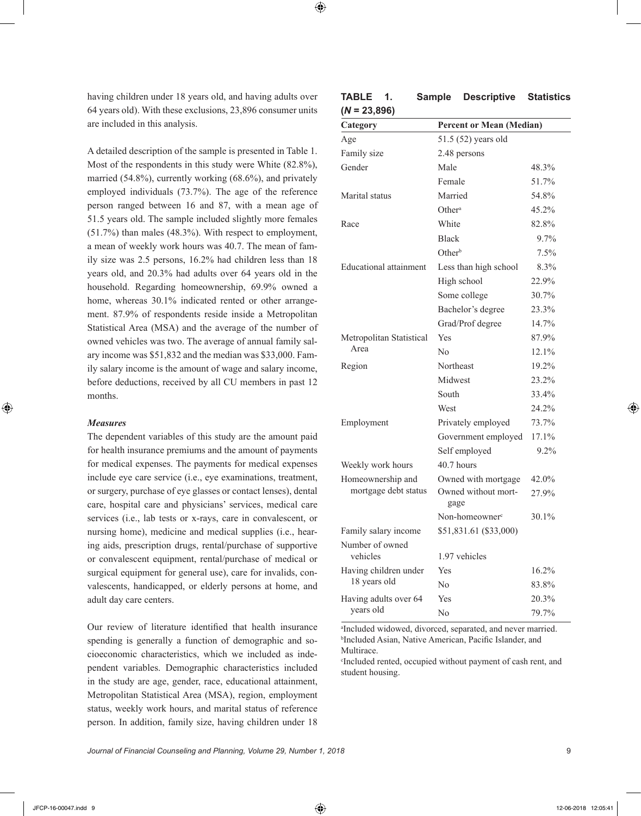having children under 18 years old, and having adults over 64 years old). With these exclusions, 23,896 consumer units are included in this analysis.

A detailed description of the sample is presented in Table 1. Most of the respondents in this study were White (82.8%), married (54.8%), currently working (68.6%), and privately employed individuals (73.7%). The age of the reference person ranged between 16 and 87, with a mean age of 51.5 years old. The sample included slightly more females (51.7%) than males (48.3%). With respect to employment, a mean of weekly work hours was 40.7. The mean of family size was 2.5 persons, 16.2% had children less than 18 years old, and 20.3% had adults over 64 years old in the household. Regarding homeownership, 69.9% owned a home, whereas  $30.1\%$  indicated rented or other arrangement. 87.9% of respondents reside inside a Metropolitan Statistical Area (MSA) and the average of the number of owned vehicles was two. The average of annual family salary income was \$51,832 and the median was \$33,000. Family salary income is the amount of wage and salary income, before deductions, received by all CU members in past 12 months.

#### *Measures*

The dependent variables of this study are the amount paid for health insurance premiums and the amount of payments for medical expenses. The payments for medical expenses include eye care service (i.e., eye examinations, treatment, or surgery, purchase of eye glasses or contact lenses), dental care, hospital care and physicians' services, medical care services (i.e., lab tests or x-rays, care in convalescent, or nursing home), medicine and medical supplies (i.e., hearing aids, prescription drugs, rental/purchase of supportive or convalescent equipment, rental/purchase of medical or surgical equipment for general use), care for invalids, convalescents, handicapped, or elderly persons at home, and adult day care centers.

Our review of literature identified that health insurance spending is generally a function of demographic and socioeconomic characteristics, which we included as independent variables. Demographic characteristics included in the study are age, gender, race, educational attainment, Metropolitan Statistical Area (MSA), region, employment status, weekly work hours, and marital status of reference person. In addition, family size, having children under 18

| Category                    | <b>Percent or Mean (Median)</b> |       |
|-----------------------------|---------------------------------|-------|
| Age                         | 51.5 (52) years old             |       |
| Family size                 | 2.48 persons                    |       |
| Gender                      | Male                            | 48.3% |
|                             | Female                          | 51.7% |
| Marital status              | Married                         | 54.8% |
|                             | Other <sup>a</sup>              | 45.2% |
| Race                        | White                           | 82.8% |
|                             | <b>Black</b>                    | 9.7%  |
|                             | $Other^b$                       | 7.5%  |
| Educational attainment      | Less than high school           | 8.3%  |
|                             | High school                     | 22.9% |
|                             | Some college                    | 30.7% |
|                             | Bachelor's degree               | 23.3% |
|                             | Grad/Prof degree                | 14.7% |
| Metropolitan Statistical    | Yes                             | 87.9% |
| Area                        | No                              | 12.1% |
| Region                      | Northeast                       | 19.2% |
|                             | Midwest                         | 23.2% |
|                             | South                           | 33.4% |
|                             | West                            | 24.2% |
| Employment                  | Privately employed              | 73.7% |
|                             | Government employed             | 17.1% |
|                             | Self employed                   | 9.2%  |
| Weekly work hours           | 40.7 hours                      |       |
| Homeownership and           | Owned with mortgage             | 42.0% |
| mortgage debt status        | Owned without mort-<br>gage     | 27.9% |
|                             | Non-homeowner <sup>c</sup>      | 30.1% |
| Family salary income        | \$51,831.61 (\$33,000)          |       |
| Number of owned<br>vehicles | 1.97 vehicles                   |       |
| Having children under       | Yes                             | 16.2% |
| 18 years old                | No                              | 83.8% |
| Having adults over 64       | Yes                             | 20.3% |
| years old                   | No                              | 79.7% |

| TABLE          | <b>Sample Descriptive Statistics</b> |  |
|----------------|--------------------------------------|--|
| $(N = 23,896)$ |                                      |  |

a Included widowed, divorced, separated, and never married. b Included Asian, Native American, Pacific Islander, and Multirace.

c Included rented, occupied without payment of cash rent, and student housing.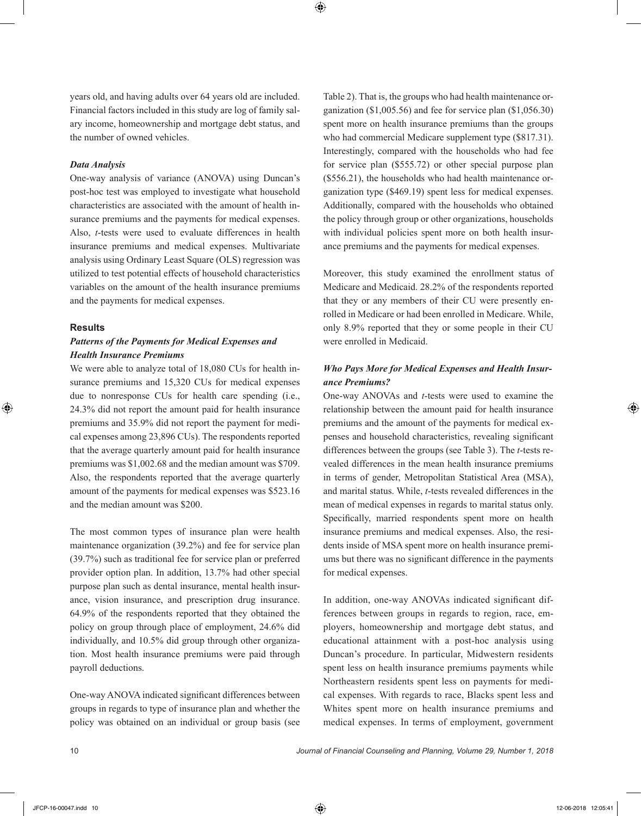years old, and having adults over 64 years old are included. Financial factors included in this study are log of family salary income, homeownership and mortgage debt status, and the number of owned vehicles.

## *Data Analysis*

One-way analysis of variance (ANOVA) using Duncan's post-hoc test was employed to investigate what household characteristics are associated with the amount of health insurance premiums and the payments for medical expenses. Also, *t*-tests were used to evaluate differences in health insurance premiums and medical expenses. Multivariate analysis using Ordinary Least Square (OLS) regression was utilized to test potential effects of household characteristics variables on the amount of the health insurance premiums and the payments for medical expenses.

#### **Results**

## *Patterns of the Payments for Medical Expenses and Health Insurance Premiums*

We were able to analyze total of 18,080 CUs for health insurance premiums and 15,320 CUs for medical expenses due to nonresponse CUs for health care spending (i.e., 24.3% did not report the amount paid for health insurance premiums and 35.9% did not report the payment for medical expenses among 23,896 CUs). The respondents reported that the average quarterly amount paid for health insurance premiums was \$1,002.68 and the median amount was \$709. Also, the respondents reported that the average quarterly amount of the payments for medical expenses was \$523.16 and the median amount was \$200.

The most common types of insurance plan were health maintenance organization (39.2%) and fee for service plan (39.7%) such as traditional fee for service plan or preferred provider option plan. In addition, 13.7% had other special purpose plan such as dental insurance, mental health insurance, vision insurance, and prescription drug insurance. 64.9% of the respondents reported that they obtained the policy on group through place of employment, 24.6% did individually, and 10.5% did group through other organization. Most health insurance premiums were paid through payroll deductions.

One-way ANOVA indicated significant differences between groups in regards to type of insurance plan and whether the policy was obtained on an individual or group basis (see

Table 2). That is, the groups who had health maintenance organization (\$1,005.56) and fee for service plan (\$1,056.30) spent more on health insurance premiums than the groups who had commercial Medicare supplement type (\$817.31). Interestingly, compared with the households who had fee for service plan (\$555.72) or other special purpose plan (\$556.21), the households who had health maintenance organization type (\$469.19) spent less for medical expenses. Additionally, compared with the households who obtained the policy through group or other organizations, households with individual policies spent more on both health insurance premiums and the payments for medical expenses.

Moreover, this study examined the enrollment status of Medicare and Medicaid. 28.2% of the respondents reported that they or any members of their CU were presently enrolled in Medicare or had been enrolled in Medicare. While, only 8.9% reported that they or some people in their CU were enrolled in Medicaid.

# *Who Pays More for Medical Expenses and Health Insurance Premiums?*

One-way ANOVAs and *t*-tests were used to examine the relationship between the amount paid for health insurance premiums and the amount of the payments for medical expenses and household characteristics, revealing significant differences between the groups (see Table 3). The *t*-tests revealed differences in the mean health insurance premiums in terms of gender, Metropolitan Statistical Area (MSA), and marital status. While, *t*-tests revealed differences in the mean of medical expenses in regards to marital status only. Specifically, married respondents spent more on health insurance premiums and medical expenses. Also, the residents inside of MSA spent more on health insurance premiums but there was no significant difference in the payments for medical expenses.

In addition, one-way ANOVAs indicated significant differences between groups in regards to region, race, employers, homeownership and mortgage debt status, and educational attainment with a post-hoc analysis using Duncan's procedure. In particular, Midwestern residents spent less on health insurance premiums payments while Northeastern residents spent less on payments for medical expenses. With regards to race, Blacks spent less and Whites spent more on health insurance premiums and medical expenses. In terms of employment, government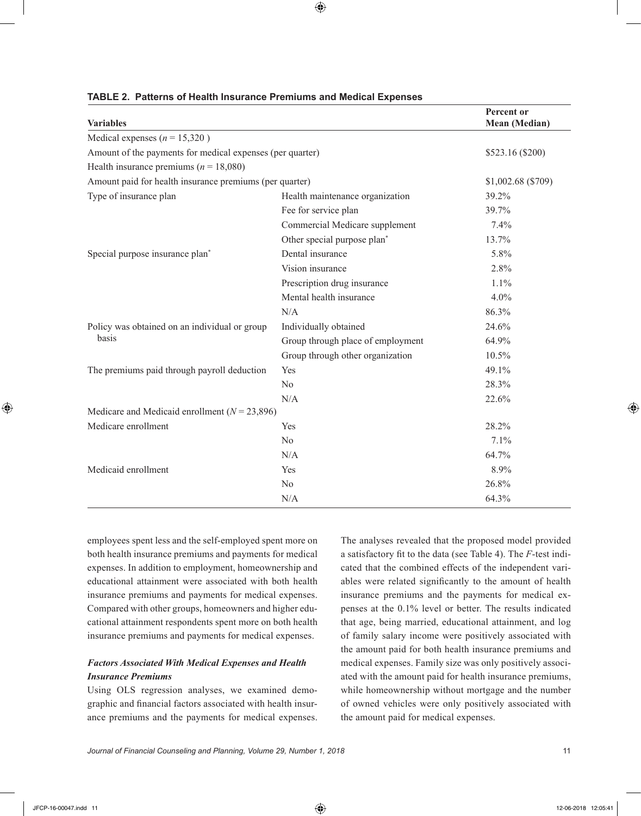| <b>Variables</b>                                          | Percent or<br>Mean (Median)             |                    |
|-----------------------------------------------------------|-----------------------------------------|--------------------|
| Medical expenses ( $n = 15,320$ )                         |                                         |                    |
| Amount of the payments for medical expenses (per quarter) |                                         | \$523.16 (\$200)   |
| Health insurance premiums ( $n = 18,080$ )                |                                         |                    |
| Amount paid for health insurance premiums (per quarter)   |                                         | \$1,002.68 (\$709) |
| Type of insurance plan                                    | Health maintenance organization         | 39.2%              |
|                                                           | Fee for service plan                    | 39.7%              |
|                                                           | Commercial Medicare supplement          | 7.4%               |
|                                                           | Other special purpose plan <sup>*</sup> | 13.7%              |
| Special purpose insurance plan <sup>*</sup>               | Dental insurance                        | 5.8%               |
|                                                           | Vision insurance                        | 2.8%               |
|                                                           | Prescription drug insurance             | 1.1%               |
|                                                           | Mental health insurance                 | 4.0%               |
|                                                           | N/A                                     | 86.3%              |
| Policy was obtained on an individual or group             | Individually obtained                   | 24.6%              |
| basis                                                     | Group through place of employment       | 64.9%              |
|                                                           | Group through other organization        | 10.5%              |
| The premiums paid through payroll deduction               | Yes                                     | 49.1%              |
|                                                           | No                                      | 28.3%              |
|                                                           | N/A                                     | 22.6%              |
| Medicare and Medicaid enrollment ( $N = 23,896$ )         |                                         |                    |
| Medicare enrollment                                       | Yes                                     | 28.2%              |
|                                                           | N <sub>0</sub>                          | 7.1%               |
|                                                           | N/A                                     | 64.7%              |
| Medicaid enrollment                                       | Yes                                     | 8.9%               |
|                                                           | N <sub>0</sub>                          | 26.8%              |
|                                                           | N/A                                     | 64.3%              |

## **TABLE 2. Patterns of Health Insurance Premiums and Medical Expenses**

employees spent less and the self-employed spent more on both health insurance premiums and payments for medical expenses. In addition to employment, homeownership and educational attainment were associated with both health insurance premiums and payments for medical expenses. Compared with other groups, homeowners and higher educational attainment respondents spent more on both health insurance premiums and payments for medical expenses.

# *Factors Associated With Medical Expenses and Health Insurance Premiums*

Using OLS regression analyses, we examined demographic and financial factors associated with health insurance premiums and the payments for medical expenses.

The analyses revealed that the proposed model provided a satisfactory fit to the data (see Table 4). The *F*-test indicated that the combined effects of the independent variables were related significantly to the amount of health insurance premiums and the payments for medical expenses at the 0.1% level or better. The results indicated that age, being married, educational attainment, and log of family salary income were positively associated with the amount paid for both health insurance premiums and medical expenses. Family size was only positively associated with the amount paid for health insurance premiums, while homeownership without mortgage and the number of owned vehicles were only positively associated with the amount paid for medical expenses.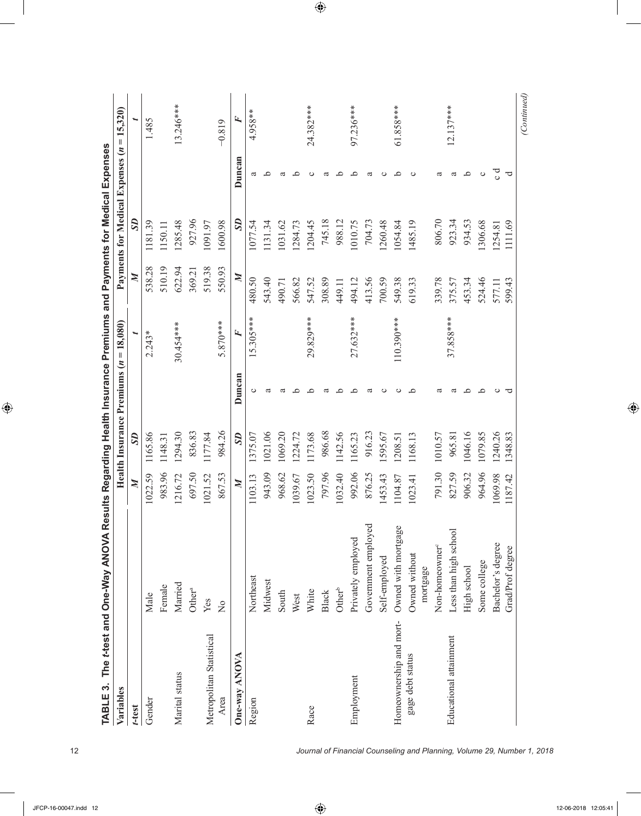| TABLE 3.<br>Variables    | The t-test and One-Way ANOVA Results Regarding Health Insurance Premiums and Payments for Medical Expenses |                  | Health Insurance Premiums $(n = 18,080)$ |        |            |                  | Payments for Medical Expenses $(n =$ |        | 15,320)     |
|--------------------------|------------------------------------------------------------------------------------------------------------|------------------|------------------------------------------|--------|------------|------------------|--------------------------------------|--------|-------------|
|                          |                                                                                                            | $\boldsymbol{M}$ |                                          |        |            |                  |                                      |        |             |
| t-test                   |                                                                                                            |                  | S <sub>D</sub>                           |        | ⊾          | $\boldsymbol{M}$ | $\mathcal{S}$                        |        |             |
| Gender                   | Male                                                                                                       | 1022.59          | 1165.86                                  |        | $2.243*$   | 538.28           | 1181.39                              |        | 1.485       |
|                          | Female                                                                                                     | 983.96           | 1148.31                                  |        |            | 510.19           | 1150.11                              |        |             |
| Marital status           | Married                                                                                                    | 1216.72          | 1294.30                                  |        | 30.454 *** | 622.94           | 1285.48                              |        | $13.246***$ |
|                          | Other <sup>a</sup>                                                                                         | 697.50           | 836.83                                   |        |            | 369.21           | 927.96                               |        |             |
| Metropolitan Statistical | Yes                                                                                                        | 1021.52          | 1177.84                                  |        |            | 519.38           | 1091.97                              |        |             |
| Area                     | $\overline{a}$                                                                                             | 867.53           | 984.26                                   |        | 5.870***   | 550.93           | 1600.98                              |        | $-0.819$    |
| One-way ANOVA            |                                                                                                            | $\boldsymbol{M}$ | S <sub>D</sub>                           | Duncan | Ŀ,         | $\mathbb{N}$     | S <sub>D</sub>                       | Duncan | Ŀ,          |
| Region                   | Northeast                                                                                                  | 1103.13          | 1375.07                                  |        | 5.305 ***  | 480.50           | 1077.54                              |        | 4.958**     |
|                          | Midwest                                                                                                    | 943.09           | 1021.06                                  |        |            | 543.40           | 131.34                               | ≏      |             |
|                          | South                                                                                                      | 968.62           | 1069.20                                  | ದ      |            | 490.71           | 1031.62                              | ದ      |             |
|                          | West                                                                                                       | 1039.67          | 1224.72                                  |        |            | 566.82           | 1284.73                              | ≏      |             |
| Race                     | White                                                                                                      | 1023.50          | 1173.68                                  | ≏      | 29.829***  | 547.52           | 1204.45                              |        | 24.382 ***  |
|                          | Black                                                                                                      | 797.96           | 986.68                                   | ದ      |            | 308.89           | 745.18                               | ದ      |             |
|                          | $\mathrm{Other}^\mathrm{b}$                                                                                | 1032.40          | 1142.56                                  | ء      |            | 449.11           | 988.12                               | ≏      |             |
| Employment               | Privately employed                                                                                         | 992.06           | 1165.23                                  | ≏      | 27.632***  | 494.12           | 1010.75                              | ≏      | 97.236***   |
|                          | Government employed                                                                                        | 876.25           | 916.23                                   | ದ      |            | 413.56           | 704.73                               | ದ      |             |
|                          | Self-employed                                                                                              | 1453.43          | 595.67                                   | ပ      |            | 700.59           | .260.48                              | ပ      |             |
| Homeownership and mort-  | Owned with mortgage                                                                                        | 1104.87          | 1208.51                                  | ల      | 110.390*** | 549.38           | 1054.84                              | ≏      | 61.858***   |
| gage debt status         | Owned without                                                                                              | 1023.41          | 1168.13                                  | ء      |            | 619.33           | 1485.19                              |        |             |
|                          | mortgage                                                                                                   |                  |                                          |        |            |                  |                                      |        |             |
|                          | Non-homeowner <sup>c</sup>                                                                                 | 791.30           | 1010.57                                  |        |            | 339.78           | 806.70                               | ದ      |             |
| Educational attainment   | Less than high school                                                                                      | 827.59           | 965.81                                   | ದ      | 37.858***  | 375.57           | 923.34                               | ದ      | $12.137***$ |
|                          | High school                                                                                                | 906.32           | 1046.16                                  | ≏      |            | 453.34           | 934.53                               | ے      |             |
|                          | Some college                                                                                               | 964.96           | 1079.85                                  | ≏      |            | 524.46           | 306.68                               | ပ      |             |
|                          | Bachelor's degree                                                                                          | 1069.98          | 1240.26                                  | ల      |            | 577.11           | 1254.81                              | ರ      |             |
|                          | Grad/Prof degree                                                                                           | 1187.42          | 1348.83                                  | ヮ      |            | 599.43           | 1111.69                              | ರ      |             |
|                          |                                                                                                            |                  |                                          |        |            |                  |                                      |        | (Continued) |

| l<br>ĺ                   |
|--------------------------|
|                          |
| İ                        |
|                          |
| $\overline{\phantom{a}}$ |
|                          |
|                          |
|                          |
| l                        |
|                          |
|                          |
| <b>CONSTRUCTION</b>      |
|                          |
|                          |
| ı                        |
|                          |
| )<br>;<br>;              |
|                          |
|                          |
|                          |
|                          |
|                          |
| ת<br>נוני                |
|                          |
|                          |
|                          |
| $\frac{1}{2}$            |
|                          |
|                          |
|                          |
|                          |
|                          |
| A Vel                    |
|                          |
| Ì                        |
|                          |
|                          |
|                          |
|                          |
|                          |
|                          |
|                          |
|                          |
| ĺ<br>I                   |
|                          |
|                          |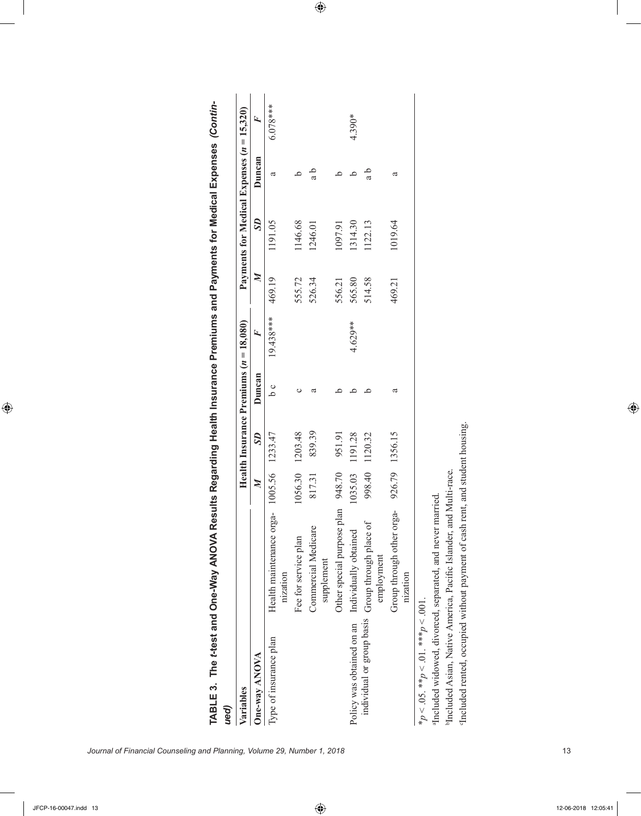| Variables<br>ued)                               |                                                                                |                  |                | Health Insurance Premiums $(n = 18,080)$ |           |             | Payments for Medical Expenses $(n = 15,320)$ |        |            |
|-------------------------------------------------|--------------------------------------------------------------------------------|------------------|----------------|------------------------------------------|-----------|-------------|----------------------------------------------|--------|------------|
| <b>One-way ANOVA</b>                            |                                                                                | $\boldsymbol{M}$ | S <sub>D</sub> | Duncan                                   | Ŀ,        | $\mathbb N$ | S <sub>D</sub>                               | Duncan | Ŀ,         |
| Type of insurance plan                          | Health maintenance orga-<br>nization                                           | 1005.56          | 1233.47        | o q                                      | 19.438*** | 469.19      | 1191.05                                      | ದ      | $6.078***$ |
|                                                 | Fee for service plan                                                           | 1056.30          | 1203.48        |                                          |           | 555.72      | 1146.68                                      | ≏      |            |
|                                                 | Commercial Medicare<br>supplement                                              | 817.31           | 839.39         |                                          |           | 526.34      | 1246.01                                      | a b    |            |
|                                                 | Other special purpose plan 948.70                                              |                  | 951.91         |                                          |           | 556.21      | 1097.91                                      |        |            |
| Policy was obtained on an Individually obtained |                                                                                | 1035.03          | 1191.28        |                                          | 4.629**   | 565.80      | 1314.30                                      |        | $4.390*$   |
|                                                 | individual or group basis Group through place of<br>employment                 | 998.40           | 1120.32        |                                          |           | 514.58      | 122.13                                       | a b    |            |
|                                                 | Group through other orga-<br>nization                                          |                  | 926.79 1356.15 | ದ                                        |           | 469.21      | 1019.64                                      | ದ      |            |
| * $p < 0.05$ . ** $p < 0.1$ . *** $p < 0.01$ .  |                                                                                |                  |                |                                          |           |             |                                              |        |            |
|                                                 | aIncluded widowed, divorced, separated, and never married.                     |                  |                |                                          |           |             |                                              |        |            |
|                                                 | <sup>b</sup> Included Asian, Native America, Pacific Islander, and Multi-race. |                  |                |                                          |           |             |                                              |        |            |

| C<br>7<br>ı<br>֧֛֚֓                |            |
|------------------------------------|------------|
|                                    |            |
|                                    |            |
| I                                  |            |
| o<br>3<br>$\overline{\phantom{a}}$ |            |
| A veW-end                          |            |
| TABLE 3. The t-test and On.        |            |
|                                    | <b>iss</b> |

 $\circ$ 

Included rented, occupied without payment of cash rent, and student housing.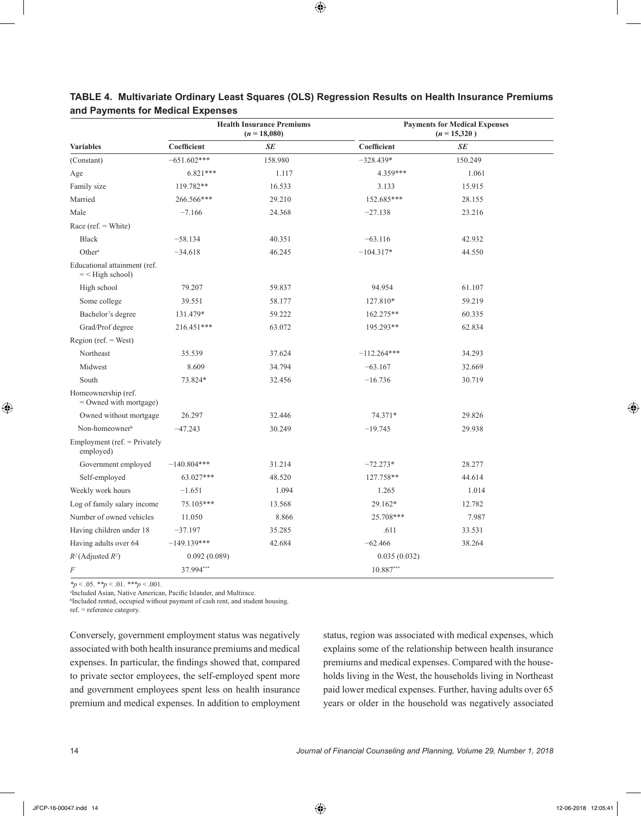|                                                    |               | <b>Health Insurance Premiums</b><br>$(n = 18,080)$ |               | <b>Payments for Medical Expenses</b><br>$(n = 15,320)$ |
|----------------------------------------------------|---------------|----------------------------------------------------|---------------|--------------------------------------------------------|
| <b>Variables</b>                                   | Coefficient   | SE                                                 | Coefficient   | SE                                                     |
| (Constant)                                         | $-651.602***$ | 158.980                                            | $-328.439*$   | 150.249                                                |
| Age                                                | $6.821***$    | 1.117                                              | 4.359***      | 1.061                                                  |
| Family size                                        | 119.782**     | 16.533                                             | 3.133         | 15.915                                                 |
| Married                                            | 266.566***    | 29.210                                             | 152.685***    | 28.155                                                 |
| Male                                               | $-7.166$      | 24.368                                             | $-27.138$     | 23.216                                                 |
| Race (ref. $=$ White)                              |               |                                                    |               |                                                        |
| <b>Black</b>                                       | $-58.134$     | 40.351                                             | $-63.116$     | 42.932                                                 |
| Other <sup>a</sup>                                 | $-34.618$     | 46.245                                             | $-104.317*$   | 44.550                                                 |
| Educational attainment (ref.<br>$=$ < High school) |               |                                                    |               |                                                        |
| High school                                        | 79.207        | 59.837                                             | 94.954        | 61.107                                                 |
| Some college                                       | 39.551        | 58.177                                             | 127.810*      | 59.219                                                 |
| Bachelor's degree                                  | 131.479*      | 59.222                                             | 162.275**     | 60.335                                                 |
| Grad/Prof degree                                   | 216.451***    | 63.072                                             | 195.293**     | 62.834                                                 |
| Region (ref. $=$ West)                             |               |                                                    |               |                                                        |
| Northeast                                          | 35.539        | 37.624                                             | $-112.264***$ | 34.293                                                 |
| Midwest                                            | 8.609         | 34.794                                             | $-63.167$     | 32.669                                                 |
| South                                              | 73.824*       | 32.456                                             | $-16.736$     | 30.719                                                 |
| Homeownership (ref.<br>$=$ Owned with mortgage)    |               |                                                    |               |                                                        |
| Owned without mortgage                             | 26.297        | 32.446                                             | 74.371*       | 29.826                                                 |
| Non-homeowner <sup>b</sup>                         | $-47.243$     | 30.249                                             | $-19.745$     | 29.938                                                 |
| Employment ( $ref.$ = Privately<br>employed)       |               |                                                    |               |                                                        |
| Government employed                                | $-140.804***$ | 31.214                                             | $-72.273*$    | 28.277                                                 |
| Self-employed                                      | 63.027***     | 48.520                                             | 127.758**     | 44.614                                                 |
| Weekly work hours                                  | $-1.651$      | 1.094                                              | 1.265         | 1.014                                                  |
| Log of family salary income                        | 75.105***     | 13.568                                             | 29.162*       | 12.782                                                 |
| Number of owned vehicles                           | 11.050        | 8.866                                              | 25.708***     | 7.987                                                  |
| Having children under 18                           | $-37.197$     | 35.285                                             | .611          | 33.531                                                 |
| Having adults over 64                              | $-149.139***$ | 42.684                                             | $-62.466$     | 38.264                                                 |
| $R^2$ (Adjusted $R^2$ )                            | 0.092(0.089)  |                                                    | 0.035(0.032)  |                                                        |
| F                                                  | 37.994***     |                                                    | $10.887***$   |                                                        |

# **TABLE 4. Multivariate Ordinary Least Squares (OLS) Regression Results on Health Insurance Premiums and Payments for Medical Expenses**

*\*p* < .05. *\*\*p* < .01. *\*\*\*p* < .001.

a Included Asian, Native American, Pacific Islander, and Multirace.

b Included rented, occupied without payment of cash rent, and student housing. ref. = reference category.

Conversely, government employment status was negatively associated with both health insurance premiums and medical expenses. In particular, the findings showed that, compared to private sector employees, the self-employed spent more and government employees spent less on health insurance premium and medical expenses. In addition to employment

status, region was associated with medical expenses, which explains some of the relationship between health insurance premiums and medical expenses. Compared with the households living in the West, the households living in Northeast paid lower medical expenses. Further, having adults over 65 years or older in the household was negatively associated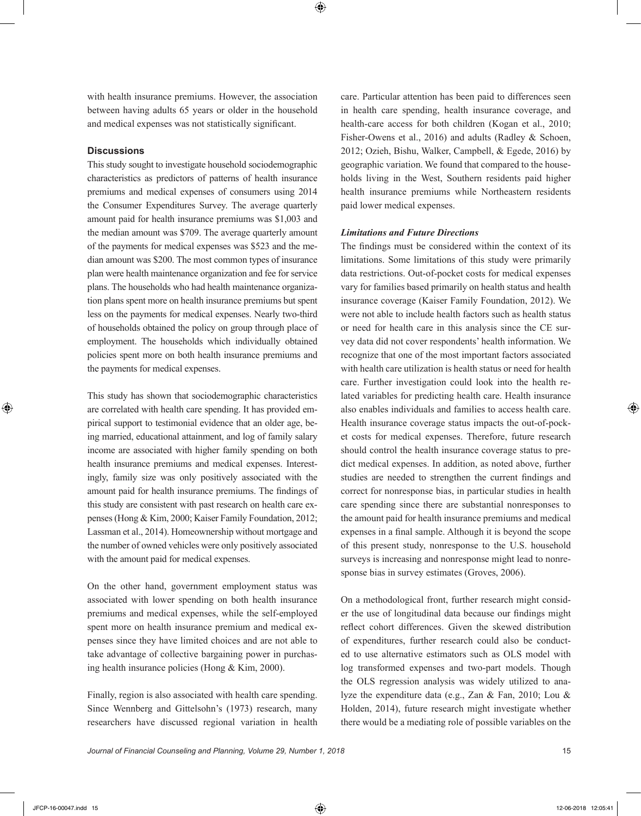with health insurance premiums. However, the association between having adults 65 years or older in the household and medical expenses was not statistically significant.

## **Discussions**

This study sought to investigate household sociodemographic characteristics as predictors of patterns of health insurance premiums and medical expenses of consumers using 2014 the Consumer Expenditures Survey. The average quarterly amount paid for health insurance premiums was \$1,003 and the median amount was \$709. The average quarterly amount of the payments for medical expenses was \$523 and the median amount was \$200. The most common types of insurance plan were health maintenance organization and fee for service plans. The households who had health maintenance organization plans spent more on health insurance premiums but spent less on the payments for medical expenses. Nearly two-third of households obtained the policy on group through place of employment. The households which individually obtained policies spent more on both health insurance premiums and the payments for medical expenses.

This study has shown that sociodemographic characteristics are correlated with health care spending. It has provided empirical support to testimonial evidence that an older age, being married, educational attainment, and log of family salary income are associated with higher family spending on both health insurance premiums and medical expenses. Interestingly, family size was only positively associated with the amount paid for health insurance premiums. The findings of this study are consistent with past research on health care expenses (Hong & Kim, 2000; Kaiser Family Foundation, 2012; Lassman et al., 2014). Homeownership without mortgage and the number of owned vehicles were only positively associated with the amount paid for medical expenses.

On the other hand, government employment status was associated with lower spending on both health insurance premiums and medical expenses, while the self-employed spent more on health insurance premium and medical expenses since they have limited choices and are not able to take advantage of collective bargaining power in purchasing health insurance policies (Hong & Kim, 2000).

Finally, region is also associated with health care spending. Since Wennberg and Gittelsohn's (1973) research, many researchers have discussed regional variation in health care. Particular attention has been paid to differences seen in health care spending, health insurance coverage, and health-care access for both children (Kogan et al., 2010; Fisher-Owens et al., 2016) and adults (Radley & Schoen, 2012; Ozieh, Bishu, Walker, Campbell, & Egede, 2016) by geographic variation. We found that compared to the households living in the West, Southern residents paid higher health insurance premiums while Northeastern residents paid lower medical expenses.

## *Limitations and Future Directions*

The findings must be considered within the context of its limitations. Some limitations of this study were primarily data restrictions. Out-of-pocket costs for medical expenses vary for families based primarily on health status and health insurance coverage (Kaiser Family Foundation, 2012). We were not able to include health factors such as health status or need for health care in this analysis since the CE survey data did not cover respondents' health information. We recognize that one of the most important factors associated with health care utilization is health status or need for health care. Further investigation could look into the health related variables for predicting health care. Health insurance also enables individuals and families to access health care. Health insurance coverage status impacts the out-of-pocket costs for medical expenses. Therefore, future research should control the health insurance coverage status to predict medical expenses. In addition, as noted above, further studies are needed to strengthen the current findings and correct for nonresponse bias, in particular studies in health care spending since there are substantial nonresponses to the amount paid for health insurance premiums and medical expenses in a final sample. Although it is beyond the scope of this present study, nonresponse to the U.S. household surveys is increasing and nonresponse might lead to nonresponse bias in survey estimates (Groves, 2006).

On a methodological front, further research might consider the use of longitudinal data because our findings might reflect cohort differences. Given the skewed distribution of expenditures, further research could also be conducted to use alternative estimators such as OLS model with log transformed expenses and two-part models. Though the OLS regression analysis was widely utilized to analyze the expenditure data (e.g., Zan & Fan, 2010; Lou & Holden, 2014), future research might investigate whether there would be a mediating role of possible variables on the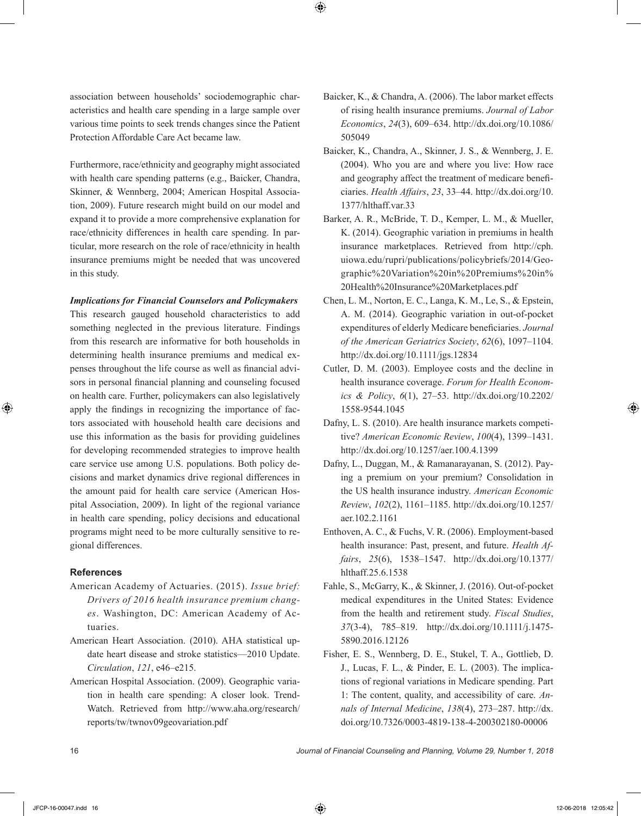association between households' sociodemographic characteristics and health care spending in a large sample over various time points to seek trends changes since the Patient Protection Affordable Care Act became law.

Furthermore, race/ethnicity and geography might associated with health care spending patterns (e.g., Baicker, Chandra, Skinner, & Wennberg, 2004; American Hospital Association, 2009). Future research might build on our model and expand it to provide a more comprehensive explanation for race/ethnicity differences in health care spending. In particular, more research on the role of race/ethnicity in health insurance premiums might be needed that was uncovered in this study.

#### *Implications for Financial Counselors and Policymakers*

This research gauged household characteristics to add something neglected in the previous literature. Findings from this research are informative for both households in determining health insurance premiums and medical expenses throughout the life course as well as financial advisors in personal financial planning and counseling focused on health care. Further, policymakers can also legislatively apply the findings in recognizing the importance of factors associated with household health care decisions and use this information as the basis for providing guidelines for developing recommended strategies to improve health care service use among U.S. populations. Both policy decisions and market dynamics drive regional differences in the amount paid for health care service (American Hospital Association, 2009). In light of the regional variance in health care spending, policy decisions and educational programs might need to be more culturally sensitive to regional differences.

## **References**

- American Academy of Actuaries. (2015). *Issue brief: Drivers of 2016 health insurance premium changes*. Washington, DC: American Academy of Actuaries.
- American Heart Association. (2010). AHA statistical update heart disease and stroke statistics—2010 Update. *Circulation*, *121*, e46–e215.
- American Hospital Association. (2009). Geographic variation in health care spending: A closer look. Trend-Watch. Retrieved from http://www.aha.org/research/ reports/tw/twnov09geovariation.pdf
- Baicker, K., & Chandra, A. (2006). The labor market effects of rising health insurance premiums. *Journal of Labor Economics*, *24*(3), 609–634. http://dx.doi.org/10.1086/ 505049
- Baicker, K., Chandra, A., Skinner, J. S., & Wennberg, J. E. (2004). Who you are and where you live: How race and geography affect the treatment of medicare beneficiaries. *Health Affairs*, *23*, 33–44. http://dx.doi.org/10. 1377/hlthaff.var.33
- Barker, A. R., McBride, T. D., Kemper, L. M., & Mueller, K. (2014). Geographic variation in premiums in health insurance marketplaces. Retrieved from http://cph. uiowa.edu/rupri/publications/policybriefs/2014/Geographic%20Variation%20in%20Premiums%20in% 20Health%20Insurance%20Marketplaces.pdf
- Chen, L. M., Norton, E. C., Langa, K. M., Le, S., & Epstein, A. M. (2014). Geographic variation in out-of-pocket expenditures of elderly Medicare beneficiaries. *Journal of the American Geriatrics Society*, *62*(6), 1097–1104. http://dx.doi.org/10.1111/jgs.12834
- Cutler, D. M. (2003). Employee costs and the decline in health insurance coverage. *Forum for Health Economics & Policy*, *6*(1), 27–53. http://dx.doi.org/10.2202/ 1558-9544.1045
- Dafny, L. S. (2010). Are health insurance markets competitive? *American Economic Review*, *100*(4), 1399–1431. http://dx.doi.org/10.1257/aer.100.4.1399
- Dafny, L., Duggan, M., & Ramanarayanan, S. (2012). Paying a premium on your premium? Consolidation in the US health insurance industry. *American Economic Review*, *102*(2), 1161–1185. http://dx.doi.org/10.1257/ aer.102.2.1161
- Enthoven, A. C., & Fuchs, V. R. (2006). Employment-based health insurance: Past, present, and future. *Health Affairs*, *25*(6), 1538–1547. http://dx.doi.org/10.1377/ hlthaff.25.6.1538
- Fahle, S., McGarry, K., & Skinner, J. (2016). Out-of-pocket medical expenditures in the United States: Evidence from the health and retirement study. *Fiscal Studies*, *37*(3-4), 785–819. http://dx.doi.org/10.1111/j.1475- 5890.2016.12126
- Fisher, E. S., Wennberg, D. E., Stukel, T. A., Gottlieb, D. J., Lucas, F. L., & Pinder, E. L. (2003). The implications of regional variations in Medicare spending. Part 1: The content, quality, and accessibility of care. *Annals of Internal Medicine*, *138*(4), 273–287. http://dx. doi.org/10.7326/0003-4819-138-4-200302180-00006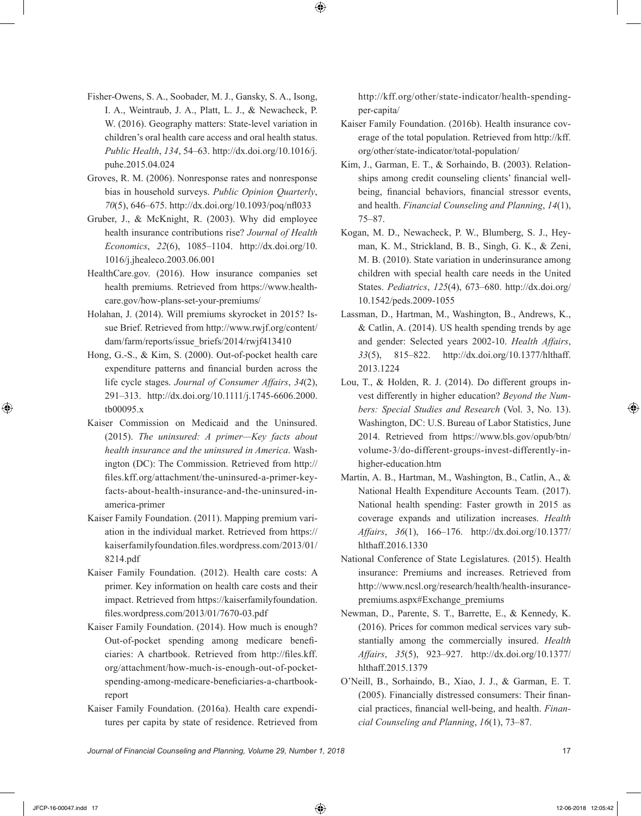- Fisher-Owens, S. A., Soobader, M. J., Gansky, S. A., Isong, I. A., Weintraub, J. A., Platt, L. J., & Newacheck, P. W. (2016). Geography matters: State-level variation in children's oral health care access and oral health status. *Public Health*, *134*, 54–63. http://dx.doi.org/10.1016/j. puhe.2015.04.024
- Groves, R. M. (2006). Nonresponse rates and nonresponse bias in household surveys. *Public Opinion Quarterly*, *70*(5), 646–675. http://dx.doi.org/10.1093/poq/nfl033
- Gruber, J., & McKnight, R. (2003). Why did employee health insurance contributions rise? *Journal of Health Economics*, *22*(6), 1085–1104. http://dx.doi.org/10. 1016/j.jhealeco.2003.06.001
- HealthCare.gov. (2016). How insurance companies set health premiums. Retrieved from https://www.healthcare.gov/how-plans-set-your-premiums/
- Holahan, J. (2014). Will premiums skyrocket in 2015? Issue Brief. Retrieved from http://www.rwjf.org/content/ dam/farm/reports/issue\_briefs/2014/rwjf413410
- Hong, G.-S., & Kim, S. (2000). Out-of-pocket health care expenditure patterns and financial burden across the life cycle stages. *Journal of Consumer Affairs*, *34*(2), 291–313. http://dx.doi.org/10.1111/j.1745-6606.2000. tb00095.x
- Kaiser Commission on Medicaid and the Uninsured. (2015). *The uninsured: A primer—Key facts about health insurance and the uninsured in America*. Washington (DC): The Commission. Retrieved from http:// files.kff.org/attachment/the-uninsured-a-primer-keyfacts-about-health-insurance-and-the-uninsured-inamerica-primer
- Kaiser Family Foundation. (2011). Mapping premium variation in the individual market. Retrieved from https:// kaiserfamilyfoundation.files.wordpress.com/2013/01/ 8214.pdf
- Kaiser Family Foundation. (2012). Health care costs: A primer. Key information on health care costs and their impact. Retrieved from https://kaiserfamilyfoundation. files.wordpress.com/2013/01/7670-03.pdf
- Kaiser Family Foundation. (2014). How much is enough? Out-of-pocket spending among medicare beneficiaries: A chartbook. Retrieved from http://files.kff. org/attachment/how-much-is-enough-out-of-pocketspending-among-medicare-beneficiaries-a-chartbookreport
- Kaiser Family Foundation. (2016a). Health care expenditures per capita by state of residence. Retrieved from

http://kff.org/other/state-indicator/health-spendingper-capita/

- Kaiser Family Foundation. (2016b). Health insurance coverage of the total population. Retrieved from http://kff. org/other/state-indicator/total-population/
- Kim, J., Garman, E. T., & Sorhaindo, B. (2003). Relationships among credit counseling clients' financial wellbeing, financial behaviors, financial stressor events, and health. *Financial Counseling and Planning*, *14*(1), 75–87.
- Kogan, M. D., Newacheck, P. W., Blumberg, S. J., Heyman, K. M., Strickland, B. B., Singh, G. K., & Zeni, M. B. (2010). State variation in underinsurance among children with special health care needs in the United States. *Pediatrics*, *125*(4), 673–680. http://dx.doi.org/ 10.1542/peds.2009-1055
- Lassman, D., Hartman, M., Washington, B., Andrews, K., & Catlin, A. (2014). US health spending trends by age and gender: Selected years 2002-10. *Health Affairs*, *33*(5), 815–822. http://dx.doi.org/10.1377/hlthaff. 2013.1224
- Lou, T., & Holden, R. J. (2014). Do different groups invest differently in higher education? *Beyond the Numbers: Special Studies and Research* (Vol. 3, No. 13). Washington, DC: U.S. Bureau of Labor Statistics, June 2014. Retrieved from https://www.bls.gov/opub/btn/ volume-3/do-different-groups-invest-differently-inhigher-education.htm
- Martin, A. B., Hartman, M., Washington, B., Catlin, A., & National Health Expenditure Accounts Team. (2017). National health spending: Faster growth in 2015 as coverage expands and utilization increases. *Health Affairs*, *36*(1), 166–176. http://dx.doi.org/10.1377/ hlthaff.2016.1330
- National Conference of State Legislatures. (2015). Health insurance: Premiums and increases. Retrieved from http://www.ncsl.org/research/health/health-insurancepremiums.aspx#Exchange\_premiums
- Newman, D., Parente, S. T., Barrette, E., & Kennedy, K. (2016). Prices for common medical services vary substantially among the commercially insured. *Health Affairs*, *35*(5), 923–927. http://dx.doi.org/10.1377/ hlthaff.2015.1379
- O'Neill, B., Sorhaindo, B., Xiao, J. J., & Garman, E. T. (2005). Financially distressed consumers: Their financial practices, financial well-being, and health. *Financial Counseling and Planning*, *16*(1), 73–87.